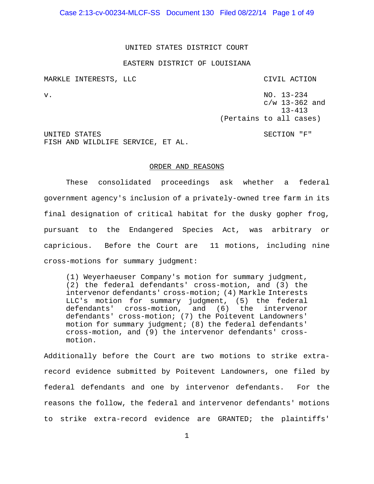Case 2:13-cv-00234-MLCF-SS Document 130 Filed 08/22/14 Page 1 of 49

UNITED STATES DISTRICT COURT

#### EASTERN DISTRICT OF LOUISIANA

MARKLE INTERESTS, LLC CIVIL ACTION v. NO. 13-234 c/w 13-362 and 13-413 (Pertains to all cases) UNITED STATES SECTION TEST SECTION TEST SECTION TEST SECTION TEST SECTION TEST SECTION TEST SECTION TEST SECTION TEST SECTION TEST SECTION TEST SECTION SECTION SECTION SECTION SECTION SECTION SECTION SECTION SECTION SECTIO FISH AND WILDLIFE SERVICE, ET AL.

## ORDER AND REASONS

These consolidated proceedings ask whether a federal government agency's inclusion of a privately-owned tree farm in its final designation of critical habitat for the dusky gopher frog, pursuant to the Endangered Species Act, was arbitrary or capricious. Before the Court are 11 motions, including nine cross-motions for summary judgment:

(1) Weyerhaeuser Company's motion for summary judgment, (2) the federal defendants' cross-motion, and (3) the intervenor defendants' cross-motion; (4) Markle Interests LLC's motion for summary judgment, (5) the federal defendants' cross-motion, and (6) the intervenor defendants' cross-motion; (7) the Poitevent Landowners' motion for summary judgment; (8) the federal defendants' cross-motion, and (9) the intervenor defendants' crossmotion.

Additionally before the Court are two motions to strike extrarecord evidence submitted by Poitevent Landowners, one filed by federal defendants and one by intervenor defendants. For the reasons the follow, the federal and intervenor defendants' motions to strike extra-record evidence are GRANTED; the plaintiffs'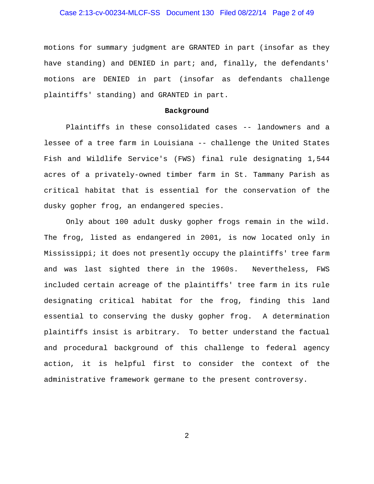## Case 2:13-cv-00234-MLCF-SS Document 130 Filed 08/22/14 Page 2 of 49

motions for summary judgment are GRANTED in part (insofar as they have standing) and DENIED in part; and, finally, the defendants' motions are DENIED in part (insofar as defendants challenge plaintiffs' standing) and GRANTED in part.

#### **Background**

Plaintiffs in these consolidated cases -- landowners and a lessee of a tree farm in Louisiana -- challenge the United States Fish and Wildlife Service's (FWS) final rule designating 1,544 acres of a privately-owned timber farm in St. Tammany Parish as critical habitat that is essential for the conservation of the dusky gopher frog, an endangered species.

Only about 100 adult dusky gopher frogs remain in the wild. The frog, listed as endangered in 2001, is now located only in Mississippi; it does not presently occupy the plaintiffs' tree farm and was last sighted there in the 1960s. Nevertheless, FWS included certain acreage of the plaintiffs' tree farm in its rule designating critical habitat for the frog, finding this land essential to conserving the dusky gopher frog. A determination plaintiffs insist is arbitrary. To better understand the factual and procedural background of this challenge to federal agency action, it is helpful first to consider the context of the administrative framework germane to the present controversy.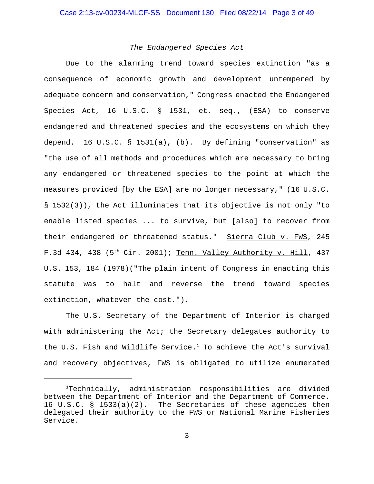## *The Endangered Species Act*

Due to the alarming trend toward species extinction "as a consequence of economic growth and development untempered by adequate concern and conservation," Congress enacted the Endangered Species Act, 16 U.S.C. § 1531, et. seq., (ESA) to conserve endangered and threatened species and the ecosystems on which they depend. 16 U.S.C. § 1531(a), (b). By defining "conservation" as "the use of all methods and procedures which are necessary to bring any endangered or threatened species to the point at which the measures provided [by the ESA] are no longer necessary," (16 U.S.C. § 1532(3)), the Act illuminates that its objective is not only "to enable listed species ... to survive, but [also] to recover from their endangered or threatened status." Sierra Club v. FWS, 245 F.3d 434, 438 ( $5<sup>th</sup>$  Cir. 2001); Tenn. Valley Authority v. Hill, 437 U.S. 153, 184 (1978)("The plain intent of Congress in enacting this statute was to halt and reverse the trend toward species extinction, whatever the cost.").

The U.S. Secretary of the Department of Interior is charged with administering the Act; the Secretary delegates authority to the U.S. Fish and Wildlife Service.<sup>1</sup> To achieve the Act's survival and recovery objectives, FWS is obligated to utilize enumerated

<sup>1</sup> Technically, administration responsibilities are divided between the Department of Interior and the Department of Commerce. 16 U.S.C. § 1533(a)(2). The Secretaries of these agencies then delegated their authority to the FWS or National Marine Fisheries Service.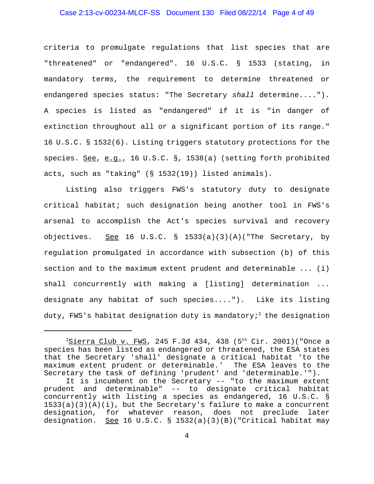## Case 2:13-cv-00234-MLCF-SS Document 130 Filed 08/22/14 Page 4 of 49

criteria to promulgate regulations that list species that are "threatened" or "endangered". 16 U.S.C. § 1533 (stating, in mandatory terms, the requirement to determine threatened or endangered species status: "The Secretary *shall* determine...."). A species is listed as "endangered" if it is "in danger of extinction throughout all or a significant portion of its range." 16 U.S.C. § 1532(6). Listing triggers statutory protections for the species. See, e.g., 16 U.S.C. §, 1538(a) (setting forth prohibited acts, such as "taking" (§ 1532(19)) listed animals).

Listing also triggers FWS's statutory duty to designate critical habitat; such designation being another tool in FWS's arsenal to accomplish the Act's species survival and recovery objectives. See 16 U.S.C. § 1533(a)(3)(A)("The Secretary, by regulation promulgated in accordance with subsection (b) of this section and to the maximum extent prudent and determinable ... (i) shall concurrently with making a [listing] determination ... designate any habitat of such species...."). Like its listing duty, FWS's habitat designation duty is mandatory;<sup>2</sup> the designation

 $^2$ <u>Sierra Club v. FWS</u>, 245 F.3d 434, 438 (5<sup>th</sup> Cir. 2001)("Once a species has been listed as endangered or threatened, the ESA states that the Secretary 'shall' designate a critical habitat 'to the maximum extent prudent or determinable.' The ESA leaves to the Secretary the task of defining 'prudent' and 'determinable.'").

It is incumbent on the Secretary -- "to the maximum extent prudent and determinable" -- to designate critical habitat concurrently with listing a species as endangered, 16 U.S.C. §  $1533(a)(3)(A)(i)$ , but the Secretary's failure to make a concurrent designation, for whatever reason, does not preclude later designation. See 16 U.S.C. § 1532(a)(3)(B)("Critical habitat may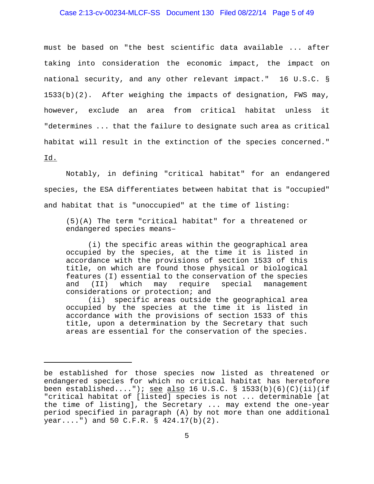## Case 2:13-cv-00234-MLCF-SS Document 130 Filed 08/22/14 Page 5 of 49

must be based on "the best scientific data available ... after taking into consideration the economic impact, the impact on national security, and any other relevant impact." 16 U.S.C. § 1533(b)(2). After weighing the impacts of designation, FWS may, however, exclude an area from critical habitat unless it "determines ... that the failure to designate such area as critical habitat will result in the extinction of the species concerned." Id.

Notably, in defining "critical habitat" for an endangered species, the ESA differentiates between habitat that is "occupied" and habitat that is "unoccupied" at the time of listing:

(5)(A) The term "critical habitat" for a threatened or endangered species means–

(i) the specific areas within the geographical area occupied by the species, at the time it is listed in accordance with the provisions of section 1533 of this title, on which are found those physical or biological features (I) essential to the conservation of the species and (II) which may require special management considerations or protection; and

(ii) specific areas outside the geographical area occupied by the species at the time it is listed in accordance with the provisions of section 1533 of this title, upon a determination by the Secretary that such areas are essential for the conservation of the species.

be established for those species now listed as threatened or endangered species for which no critical habitat has heretofore been established...."); <u>see also</u> 16 U.S.C. § 1533(b)(6)(C)(ii)(if "critical habitat of [listed] species is not ... determinable [at the time of listing], the Secretary ... may extend the one-year period specified in paragraph (A) by not more than one additional year....") and 50 C.F.R. § 424.17(b)(2).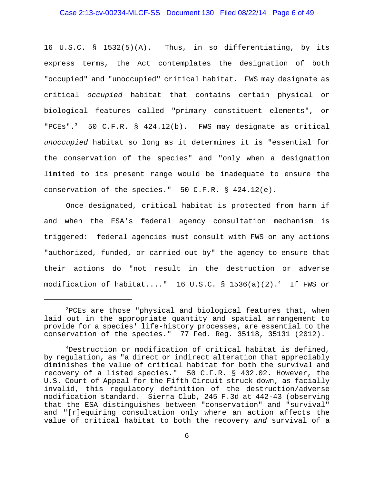## Case 2:13-cv-00234-MLCF-SS Document 130 Filed 08/22/14 Page 6 of 49

16 U.S.C. § 1532(5)(A). Thus, in so differentiating, by its express terms, the Act contemplates the designation of both "occupied" and "unoccupied" critical habitat. FWS may designate as critical *occupied* habitat that contains certain physical or biological features called "primary constituent elements", or "PCEs".<sup>3</sup> 50 C.F.R. § 424.12(b). FWS may designate as critical *unoccupied* habitat so long as it determines it is "essential for the conservation of the species" and "only when a designation limited to its present range would be inadequate to ensure the conservation of the species."  $50 \text{ C.F.R.}$  § 424.12(e).

Once designated, critical habitat is protected from harm if and when the ESA's federal agency consultation mechanism is triggered: federal agencies must consult with FWS on any actions "authorized, funded, or carried out by" the agency to ensure that their actions do "not result in the destruction or adverse modification of habitat...."  $16$  U.S.C. §  $1536(a)(2) .$  $^4$  If FWS or

<sup>&</sup>lt;sup>3</sup>PCEs are those "physical and biological features that, when laid out in the appropriate quantity and spatial arrangement to provide for a species' life-history processes, are essential to the conservation of the species." 77 Fed. Reg. 35118, 35131 (2012).

<sup>4</sup> Destruction or modification of critical habitat is defined, by regulation, as "a direct or indirect alteration that appreciably diminishes the value of critical habitat for both the survival and recovery of a listed species." 50 C.F.R. § 402.02. However, the U.S. Court of Appeal for the Fifth Circuit struck down, as facially invalid, this regulatory definition of the destruction/adverse modification standard. Sierra Club, 245 F.3d at 442-43 (observing that the ESA distinguishes between "conservation" and "survival" and "[r]equiring consultation only where an action affects the value of critical habitat to both the recovery *and* survival of a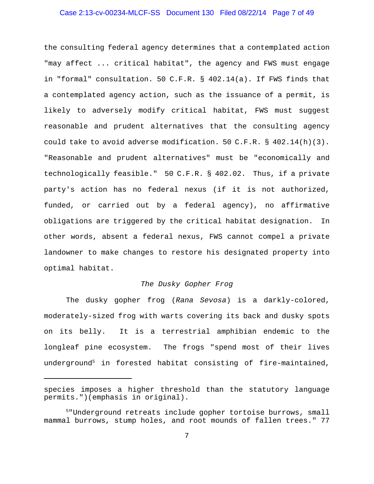## Case 2:13-cv-00234-MLCF-SS Document 130 Filed 08/22/14 Page 7 of 49

the consulting federal agency determines that a contemplated action "may affect ... critical habitat", the agency and FWS must engage in "formal" consultation. 50 C.F.R. § 402.14(a). If FWS finds that a contemplated agency action, such as the issuance of a permit, is likely to adversely modify critical habitat, FWS must suggest reasonable and prudent alternatives that the consulting agency could take to avoid adverse modification. 50 C.F.R. § 402.14(h)(3). "Reasonable and prudent alternatives" must be "economically and technologically feasible." 50 C.F.R. § 402.02. Thus, if a private party's action has no federal nexus (if it is not authorized, funded, or carried out by a federal agency), no affirmative obligations are triggered by the critical habitat designation. In other words, absent a federal nexus, FWS cannot compel a private landowner to make changes to restore his designated property into optimal habitat.

## *The Dusky Gopher Frog*

The dusky gopher frog (*Rana Sevosa*) is a darkly-colored, moderately-sized frog with warts covering its back and dusky spots on its belly. It is a terrestrial amphibian endemic to the longleaf pine ecosystem. The frogs "spend most of their lives underground5 in forested habitat consisting of fire-maintained,

species imposes a higher threshold than the statutory language permits.")(emphasis in original).

<sup>5</sup> "Underground retreats include gopher tortoise burrows, small mammal burrows, stump holes, and root mounds of fallen trees." 77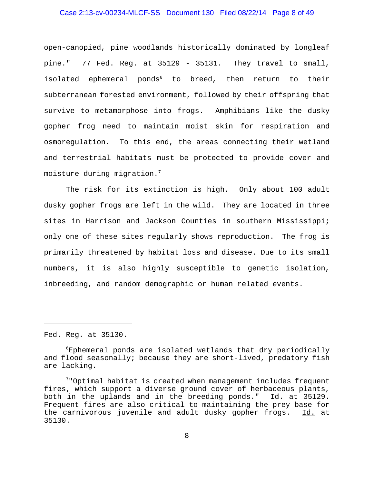## Case 2:13-cv-00234-MLCF-SS Document 130 Filed 08/22/14 Page 8 of 49

open-canopied, pine woodlands historically dominated by longleaf pine." 77 Fed. Reg. at 35129 - 35131. They travel to small, isolated ephemeral ponds<sup>6</sup> to breed, then return to their subterranean forested environment, followed by their offspring that survive to metamorphose into frogs. Amphibians like the dusky gopher frog need to maintain moist skin for respiration and osmoregulation. To this end, the areas connecting their wetland and terrestrial habitats must be protected to provide cover and moisture during migration.7

The risk for its extinction is high. Only about 100 adult dusky gopher frogs are left in the wild. They are located in three sites in Harrison and Jackson Counties in southern Mississippi; only one of these sites regularly shows reproduction. The frog is primarily threatened by habitat loss and disease. Due to its small numbers, it is also highly susceptible to genetic isolation, inbreeding, and random demographic or human related events.

Fed. Reg. at 35130.

 $6$ Ephemeral ponds are isolated wetlands that dry periodically and flood seasonally; because they are short-lived, predatory fish are lacking.

 $7$ "Optimal habitat is created when management includes frequent fires, which support a diverse ground cover of herbaceous plants, both in the uplands and in the breeding ponds." Id. at 35129. Frequent fires are also critical to maintaining the prey base for the carnivorous juvenile and adult dusky gopher frogs. Id. at 35130.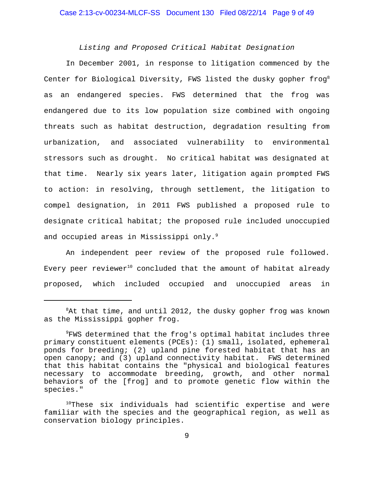## *Listing and Proposed Critical Habitat Designation*

In December 2001, in response to litigation commenced by the Center for Biological Diversity, FWS listed the dusky gopher frog<sup>8</sup> as an endangered species. FWS determined that the frog was endangered due to its low population size combined with ongoing threats such as habitat destruction, degradation resulting from urbanization, and associated vulnerability to environmental stressors such as drought. No critical habitat was designated at that time. Nearly six years later, litigation again prompted FWS to action: in resolving, through settlement, the litigation to compel designation, in 2011 FWS published a proposed rule to designate critical habitat; the proposed rule included unoccupied and occupied areas in Mississippi only.<sup>9</sup>

An independent peer review of the proposed rule followed. Every peer reviewer<sup>10</sup> concluded that the amount of habitat already proposed, which included occupied and unoccupied areas in

 ${}^{8}$ At that time, and until 2012, the dusky gopher frog was known as the Mississippi gopher frog.

 $^9$ FWS determined that the frog's optimal habitat includes three primary constituent elements (PCEs): (1) small, isolated, ephemeral ponds for breeding; (2) upland pine forested habitat that has an open canopy; and (3) upland connectivity habitat. FWS determined that this habitat contains the "physical and biological features necessary to accommodate breeding, growth, and other normal behaviors of the [frog] and to promote genetic flow within the species."

 $10$ These six individuals had scientific expertise and were familiar with the species and the geographical region, as well as conservation biology principles.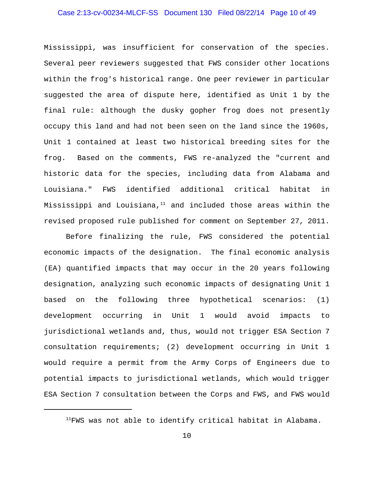## Case 2:13-cv-00234-MLCF-SS Document 130 Filed 08/22/14 Page 10 of 49

Mississippi, was insufficient for conservation of the species. Several peer reviewers suggested that FWS consider other locations within the frog's historical range. One peer reviewer in particular suggested the area of dispute here, identified as Unit 1 by the final rule: although the dusky gopher frog does not presently occupy this land and had not been seen on the land since the 1960s, Unit 1 contained at least two historical breeding sites for the frog. Based on the comments, FWS re-analyzed the "current and historic data for the species, including data from Alabama and Louisiana." FWS identified additional critical habitat in Mississippi and Louisiana, $11$  and included those areas within the revised proposed rule published for comment on September 27, 2011.

Before finalizing the rule, FWS considered the potential economic impacts of the designation. The final economic analysis (EA) quantified impacts that may occur in the 20 years following designation, analyzing such economic impacts of designating Unit 1 based on the following three hypothetical scenarios: (1) development occurring in Unit 1 would avoid impacts to jurisdictional wetlands and, thus, would not trigger ESA Section 7 consultation requirements; (2) development occurring in Unit 1 would require a permit from the Army Corps of Engineers due to potential impacts to jurisdictional wetlands, which would trigger ESA Section 7 consultation between the Corps and FWS, and FWS would

 $11$ FWS was not able to identify critical habitat in Alabama.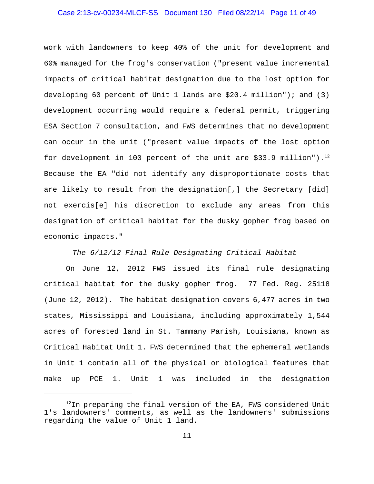## Case 2:13-cv-00234-MLCF-SS Document 130 Filed 08/22/14 Page 11 of 49

work with landowners to keep 40% of the unit for development and 60% managed for the frog's conservation ("present value incremental impacts of critical habitat designation due to the lost option for developing 60 percent of Unit 1 lands are \$20.4 million"); and (3) development occurring would require a federal permit, triggering ESA Section 7 consultation, and FWS determines that no development can occur in the unit ("present value impacts of the lost option for development in 100 percent of the unit are  $$33.9$  million").<sup>12</sup> Because the EA "did not identify any disproportionate costs that are likely to result from the designation[,] the Secretary [did] not exercis[e] his discretion to exclude any areas from this designation of critical habitat for the dusky gopher frog based on economic impacts."

*The 6/12/12 Final Rule Designating Critical Habitat*

On June 12, 2012 FWS issued its final rule designating critical habitat for the dusky gopher frog. 77 Fed. Reg. 25118 (June 12, 2012). The habitat designation covers 6,477 acres in two states, Mississippi and Louisiana, including approximately 1,544 acres of forested land in St. Tammany Parish, Louisiana, known as Critical Habitat Unit 1. FWS determined that the ephemeral wetlands in Unit 1 contain all of the physical or biological features that make up PCE 1. Unit 1 was included in the designation

 $12$ In preparing the final version of the EA, FWS considered Unit 1's landowners' comments, as well as the landowners' submissions regarding the value of Unit 1 land.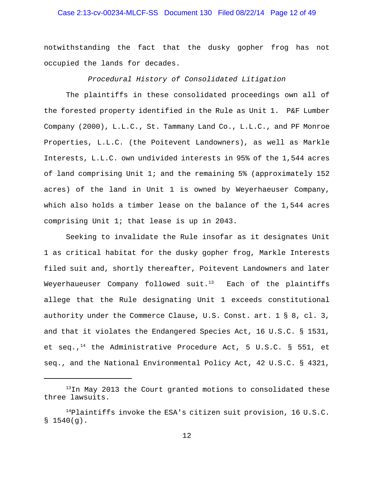## Case 2:13-cv-00234-MLCF-SS Document 130 Filed 08/22/14 Page 12 of 49

notwithstanding the fact that the dusky gopher frog has not occupied the lands for decades.

*Procedural History of Consolidated Litigation*

The plaintiffs in these consolidated proceedings own all of the forested property identified in the Rule as Unit 1. P&F Lumber Company (2000), L.L.C., St. Tammany Land Co., L.L.C., and PF Monroe Properties, L.L.C. (the Poitevent Landowners), as well as Markle Interests, L.L.C. own undivided interests in 95% of the 1,544 acres of land comprising Unit 1; and the remaining 5% (approximately 152 acres) of the land in Unit 1 is owned by Weyerhaeuser Company, which also holds a timber lease on the balance of the 1,544 acres comprising Unit 1; that lease is up in 2043.

Seeking to invalidate the Rule insofar as it designates Unit 1 as critical habitat for the dusky gopher frog, Markle Interests filed suit and, shortly thereafter, Poitevent Landowners and later Weyerhaueuser Company followed suit. $13$  Each of the plaintiffs allege that the Rule designating Unit 1 exceeds constitutional authority under the Commerce Clause, U.S. Const. art. 1 § 8, cl. 3, and that it violates the Endangered Species Act, 16 U.S.C. § 1531, et seq.,<sup>14</sup> the Administrative Procedure Act, 5 U.S.C. § 551, et seq., and the National Environmental Policy Act, 42 U.S.C. § 4321,

 $13$ In May 2013 the Court granted motions to consolidated these three lawsuits.

 $14P$ laintiffs invoke the ESA's citizen suit provision, 16 U.S.C.  $$1540(g).$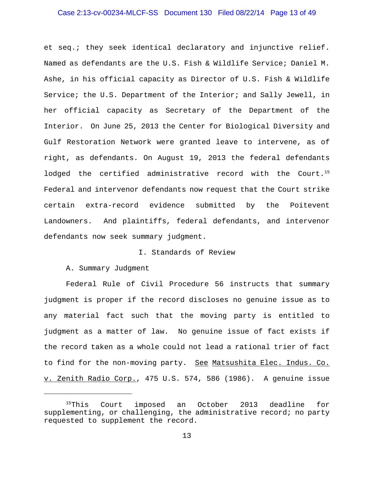## Case 2:13-cv-00234-MLCF-SS Document 130 Filed 08/22/14 Page 13 of 49

et seq.; they seek identical declaratory and injunctive relief. Named as defendants are the U.S. Fish & Wildlife Service; Daniel M. Ashe, in his official capacity as Director of U.S. Fish & Wildlife Service; the U.S. Department of the Interior; and Sally Jewell, in her official capacity as Secretary of the Department of the Interior. On June 25, 2013 the Center for Biological Diversity and Gulf Restoration Network were granted leave to intervene, as of right, as defendants. On August 19, 2013 the federal defendants lodged the certified administrative record with the Court.<sup>15</sup> Federal and intervenor defendants now request that the Court strike certain extra-record evidence submitted by the Poitevent Landowners. And plaintiffs, federal defendants, and intervenor defendants now seek summary judgment.

## I. Standards of Review

A. Summary Judgment

Federal Rule of Civil Procedure 56 instructs that summary judgment is proper if the record discloses no genuine issue as to any material fact such that the moving party is entitled to judgment as a matter of law. No genuine issue of fact exists if the record taken as a whole could not lead a rational trier of fact to find for the non-moving party. See Matsushita Elec. Indus. Co. v. Zenith Radio Corp., 475 U.S. 574, 586 (1986). A genuine issue

<sup>&</sup>lt;sup>15</sup>This Court imposed an October 2013 deadline for supplementing, or challenging, the administrative record; no party requested to supplement the record.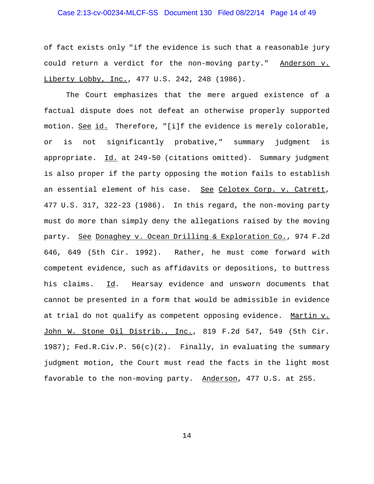## Case 2:13-cv-00234-MLCF-SS Document 130 Filed 08/22/14 Page 14 of 49

of fact exists only "if the evidence is such that a reasonable jury could return a verdict for the non-moving party." Anderson v. Liberty Lobby, Inc., 477 U.S. 242, 248 (1986).

The Court emphasizes that the mere argued existence of a factual dispute does not defeat an otherwise properly supported motion. See id. Therefore, "[i]f the evidence is merely colorable, or is not significantly probative," summary judgment is appropriate. Id. at 249-50 (citations omitted). Summary judgment is also proper if the party opposing the motion fails to establish an essential element of his case. See Celotex Corp. v. Catrett, 477 U.S. 317, 322-23 (1986). In this regard, the non-moving party must do more than simply deny the allegations raised by the moving party. See Donaghey v. Ocean Drilling & Exploration Co., 974 F.2d 646, 649 (5th Cir. 1992). Rather, he must come forward with competent evidence, such as affidavits or depositions, to buttress his claims. Id. Hearsay evidence and unsworn documents that cannot be presented in a form that would be admissible in evidence at trial do not qualify as competent opposing evidence. Martin v. John W. Stone Oil Distrib., Inc., 819 F.2d 547, 549 (5th Cir. 1987); Fed.R.Civ.P. 56(c)(2). Finally, in evaluating the summary judgment motion, the Court must read the facts in the light most favorable to the non-moving party. Anderson, 477 U.S. at 255.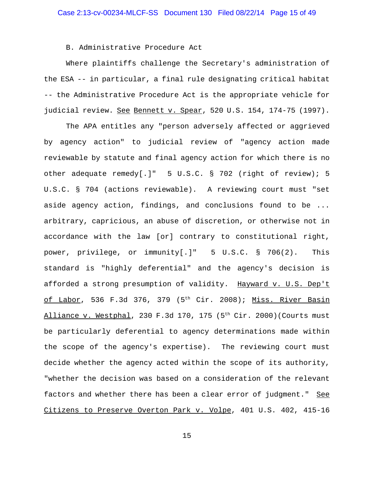B. Administrative Procedure Act

Where plaintiffs challenge the Secretary's administration of the ESA -- in particular, a final rule designating critical habitat -- the Administrative Procedure Act is the appropriate vehicle for judicial review. See Bennett v. Spear, 520 U.S. 154, 174-75 (1997).

The APA entitles any "person adversely affected or aggrieved by agency action" to judicial review of "agency action made reviewable by statute and final agency action for which there is no other adequate remedy[.]" 5 U.S.C. § 702 (right of review); 5 U.S.C. § 704 (actions reviewable). A reviewing court must "set aside agency action, findings, and conclusions found to be ... arbitrary, capricious, an abuse of discretion, or otherwise not in accordance with the law [or] contrary to constitutional right, power, privilege, or immunity[.]" 5 U.S.C. § 706(2). This standard is "highly deferential" and the agency's decision is afforded a strong presumption of validity. Hayward v. U.S. Dep't of Labor, 536 F.3d 376, 379 (5<sup>th</sup> Cir. 2008); Miss. River Basin Alliance v. Westphal, 230 F.3d 170, 175 (5<sup>th</sup> Cir. 2000)(Courts must be particularly deferential to agency determinations made within the scope of the agency's expertise). The reviewing court must decide whether the agency acted within the scope of its authority, "whether the decision was based on a consideration of the relevant factors and whether there has been a clear error of judgment." See Citizens to Preserve Overton Park v. Volpe, 401 U.S. 402, 415-16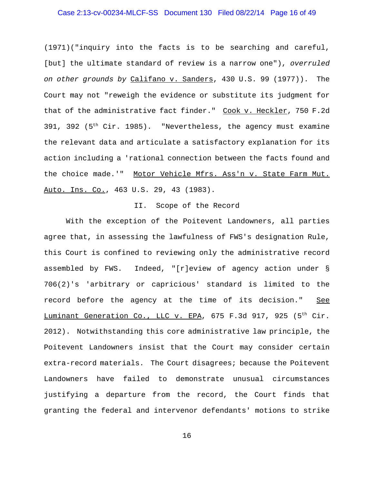## Case 2:13-cv-00234-MLCF-SS Document 130 Filed 08/22/14 Page 16 of 49

(1971)("inquiry into the facts is to be searching and careful, [but] the ultimate standard of review is a narrow one"), *overruled on other grounds by* Califano v. Sanders, 430 U.S. 99 (1977)). The Court may not "reweigh the evidence or substitute its judgment for that of the administrative fact finder." Cook v. Heckler, 750 F.2d 391, 392 ( $5<sup>th</sup>$  Cir. 1985). "Nevertheless, the agency must examine the relevant data and articulate a satisfactory explanation for its action including a 'rational connection between the facts found and the choice made.'" Motor Vehicle Mfrs. Ass'n v. State Farm Mut. Auto. Ins. Co., 463 U.S. 29, 43 (1983).

## II. Scope of the Record

With the exception of the Poitevent Landowners, all parties agree that, in assessing the lawfulness of FWS's designation Rule, this Court is confined to reviewing only the administrative record assembled by FWS. Indeed, "[r]eview of agency action under § 706(2)'s 'arbitrary or capricious' standard is limited to the record before the agency at the time of its decision." See Luminant Generation Co., LLC v. EPA, 675 F.3d 917, 925 (5<sup>th</sup> Cir. 2012). Notwithstanding this core administrative law principle, the Poitevent Landowners insist that the Court may consider certain extra-record materials. The Court disagrees; because the Poitevent Landowners have failed to demonstrate unusual circumstances justifying a departure from the record, the Court finds that granting the federal and intervenor defendants' motions to strike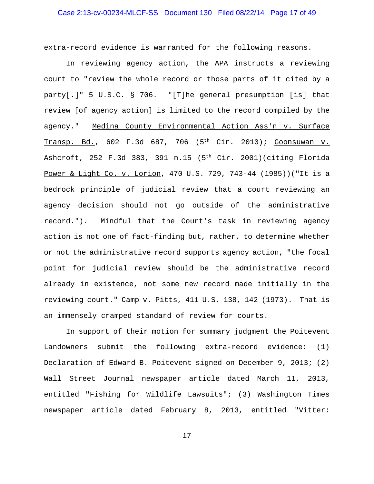# Case 2:13-cv-00234-MLCF-SS Document 130 Filed 08/22/14 Page 17 of 49

extra-record evidence is warranted for the following reasons.

In reviewing agency action, the APA instructs a reviewing court to "review the whole record or those parts of it cited by a party[.]" 5 U.S.C. § 706. "[T]he general presumption [is] that review [of agency action] is limited to the record compiled by the agency." Medina County Environmental Action Ass'n v. Surface Transp. Bd., 602 F.3d 687, 706 (5<sup>th</sup> Cir. 2010); Goonsuwan v. Ashcroft, 252 F.3d 383, 391 n.15 (5<sup>th</sup> Cir. 2001)(citing Florida Power & Light Co. v. Lorion, 470 U.S. 729, 743-44 (1985))("It is a bedrock principle of judicial review that a court reviewing an agency decision should not go outside of the administrative record."). Mindful that the Court's task in reviewing agency action is not one of fact-finding but, rather, to determine whether or not the administrative record supports agency action, "the focal point for judicial review should be the administrative record already in existence, not some new record made initially in the reviewing court." Camp v. Pitts, 411 U.S. 138, 142 (1973). That is an immensely cramped standard of review for courts.

In support of their motion for summary judgment the Poitevent Landowners submit the following extra-record evidence: (1) Declaration of Edward B. Poitevent signed on December 9, 2013; (2) Wall Street Journal newspaper article dated March 11, 2013, entitled "Fishing for Wildlife Lawsuits"; (3) Washington Times newspaper article dated February 8, 2013, entitled "Vitter: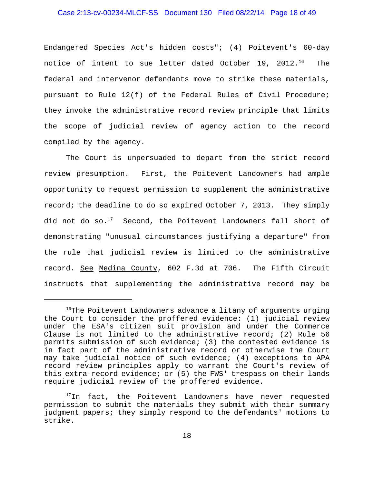# Case 2:13-cv-00234-MLCF-SS Document 130 Filed 08/22/14 Page 18 of 49

Endangered Species Act's hidden costs"; (4) Poitevent's 60-day notice of intent to sue letter dated October 19, 2012.<sup>16</sup> The federal and intervenor defendants move to strike these materials, pursuant to Rule 12(f) of the Federal Rules of Civil Procedure; they invoke the administrative record review principle that limits the scope of judicial review of agency action to the record compiled by the agency.

The Court is unpersuaded to depart from the strict record review presumption. First, the Poitevent Landowners had ample opportunity to request permission to supplement the administrative record; the deadline to do so expired October 7, 2013. They simply did not do so. $17$  Second, the Poitevent Landowners fall short of demonstrating "unusual circumstances justifying a departure" from the rule that judicial review is limited to the administrative record. See Medina County, 602 F.3d at 706. The Fifth Circuit instructs that supplementing the administrative record may be

 $16$ The Poitevent Landowners advance a litany of arguments urging the Court to consider the proffered evidence: (1) judicial review under the ESA's citizen suit provision and under the Commerce Clause is not limited to the administrative record; (2) Rule 56 permits submission of such evidence; (3) the contested evidence is in fact part of the administrative record or otherwise the Court may take judicial notice of such evidence; (4) exceptions to APA record review principles apply to warrant the Court's review of this extra-record evidence; or (5) the FWS' trespass on their lands require judicial review of the proffered evidence.

<sup>&</sup>lt;sup>17</sup>In fact, the Poitevent Landowners have never requested permission to submit the materials they submit with their summary judgment papers; they simply respond to the defendants' motions to strike.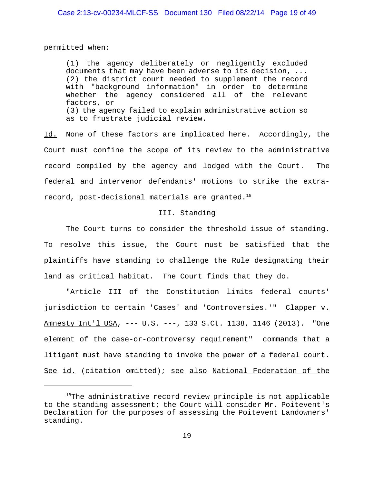permitted when:

(1) the agency deliberately or negligently excluded documents that may have been adverse to its decision, ... (2) the district court needed to supplement the record with "background information" in order to determine whether the agency considered all of the relevant factors, or (3) the agency failed to explain administrative action so as to frustrate judicial review.

Id. None of these factors are implicated here. Accordingly, the Court must confine the scope of its review to the administrative record compiled by the agency and lodged with the Court. The federal and intervenor defendants' motions to strike the extrarecord, post-decisional materials are granted. $18$ 

#### III. Standing

The Court turns to consider the threshold issue of standing. To resolve this issue, the Court must be satisfied that the plaintiffs have standing to challenge the Rule designating their land as critical habitat. The Court finds that they do.

"Article III of the Constitution limits federal courts' jurisdiction to certain 'Cases' and 'Controversies.'" Clapper v. Amnesty Int'l USA, --- U.S. ---, 133 S.Ct. 1138, 1146 (2013). "One element of the case-or-controversy requirement" commands that a litigant must have standing to invoke the power of a federal court. See id. (citation omitted); see also National Federation of the

<sup>&</sup>lt;sup>18</sup>The administrative record review principle is not applicable to the standing assessment; the Court will consider Mr. Poitevent's Declaration for the purposes of assessing the Poitevent Landowners' standing.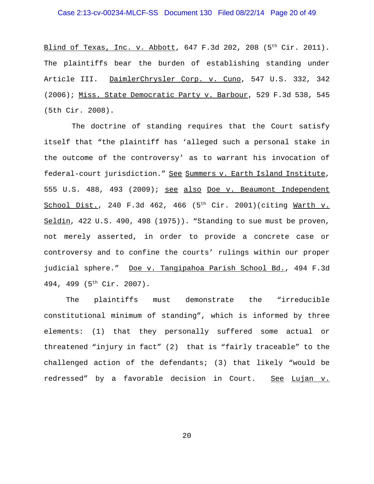## Case 2:13-cv-00234-MLCF-SS Document 130 Filed 08/22/14 Page 20 of 49

Blind of Texas, Inc. v. Abbott, 647 F.3d 202, 208 (5<sup>th</sup> Cir. 2011). The plaintiffs bear the burden of establishing standing under Article III. DaimlerChrysler Corp. v. Cuno, 547 U.S. 332, 342 (2006); Miss. State Democratic Party v. Barbour, 529 F.3d 538, 545 (5th Cir. 2008).

 The doctrine of standing requires that the Court satisfy itself that "the plaintiff has 'alleged such a personal stake in the outcome of the controversy' as to warrant his invocation of federal-court jurisdiction." See Summers v. Earth Island Institute, 555 U.S. 488, 493 (2009); see also Doe v. Beaumont Independent School Dist., 240 F.3d 462, 466  $(5<sup>th</sup> Cir. 2001)(citing Warth v.$ Seldin, 422 U.S. 490, 498 (1975)). "Standing to sue must be proven, not merely asserted, in order to provide a concrete case or controversy and to confine the courts' rulings within our proper judicial sphere." Doe v. Tangipahoa Parish School Bd., 494 F.3d 494, 499 (5th Cir. 2007).

The plaintiffs must demonstrate the "irreducible constitutional minimum of standing", which is informed by three elements: (1) that they personally suffered some actual or threatened "injury in fact" (2) that is "fairly traceable" to the challenged action of the defendants; (3) that likely "would be redressed" by a favorable decision in Court. See Lujan v.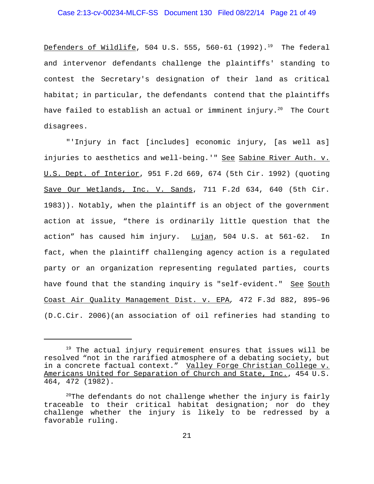Defenders of Wildlife, 504 U.S. 555, 560-61 (1992).<sup>19</sup> The federal and intervenor defendants challenge the plaintiffs' standing to contest the Secretary's designation of their land as critical habitat; in particular, the defendants contend that the plaintiffs have failed to establish an actual or imminent injury.<sup>20</sup> The Court disagrees.

"'Injury in fact [includes] economic injury, [as well as] injuries to aesthetics and well-being.'" See Sabine River Auth. v. U.S. Dept. of Interior, 951 F.2d 669, 674 (5th Cir. 1992) (quoting Save Our Wetlands, Inc. V. Sands, 711 F.2d 634, 640 (5th Cir. 1983)). Notably, when the plaintiff is an object of the government action at issue, "there is ordinarily little question that the action" has caused him injury. Lujan, 504 U.S. at 561-62. In fact, when the plaintiff challenging agency action is a regulated party or an organization representing regulated parties, courts have found that the standing inquiry is "self-evident." See South Coast Air Quality Management Dist. v. EPA*,* 472 F.3d 882, 895–96 (D.C.Cir. 2006)(an association of oil refineries had standing to

 $19$  The actual injury requirement ensures that issues will be resolved "not in the rarified atmosphere of a debating society, but in a concrete factual context." Valley Forge Christian College v. Americans United for Separation of Church and State, Inc., 454 U.S. 464, 472 (1982).

 $^{20}$ The defendants do not challenge whether the injury is fairly traceable to their critical habitat designation; nor do they challenge whether the injury is likely to be redressed by a favorable ruling.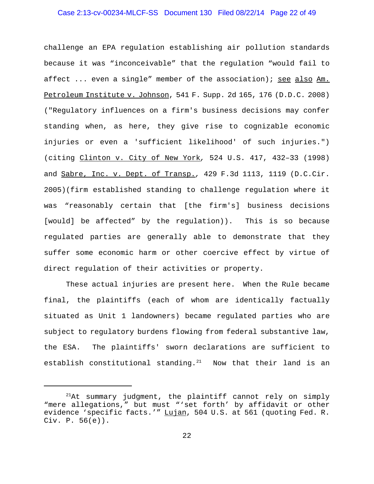## Case 2:13-cv-00234-MLCF-SS Document 130 Filed 08/22/14 Page 22 of 49

challenge an EPA regulation establishing air pollution standards because it was "inconceivable" that the regulation "would fail to affect ... even a single" member of the association); see also Am. Petroleum Institute v. Johnson, 541 F. Supp. 2d 165, 176 (D.D.C. 2008) ("Regulatory influences on a firm's business decisions may confer standing when, as here, they give rise to cognizable economic injuries or even a 'sufficient likelihood' of such injuries.") (citing Clinton v. City of New York*,* 524 U.S. 417, 432–33 (1998) and Sabre, Inc. v. Dept. of Transp.*,* 429 F.3d 1113, 1119 (D.C.Cir. 2005)(firm established standing to challenge regulation where it was "reasonably certain that [the firm's] business decisions [would] be affected" by the regulation)). This is so because regulated parties are generally able to demonstrate that they suffer some economic harm or other coercive effect by virtue of direct regulation of their activities or property.

These actual injuries are present here. When the Rule became final, the plaintiffs (each of whom are identically factually situated as Unit 1 landowners) became regulated parties who are subject to regulatory burdens flowing from federal substantive law, the ESA. The plaintiffs' sworn declarations are sufficient to establish constitutional standing. $21$  Now that their land is an

 $21$ At summary judgment, the plaintiff cannot rely on simply "mere allegations," but must "'set forth' by affidavit or other evidence 'specific facts.'" Lujan, 504 U.S. at 561 (quoting Fed. R. Civ. P. 56(e)).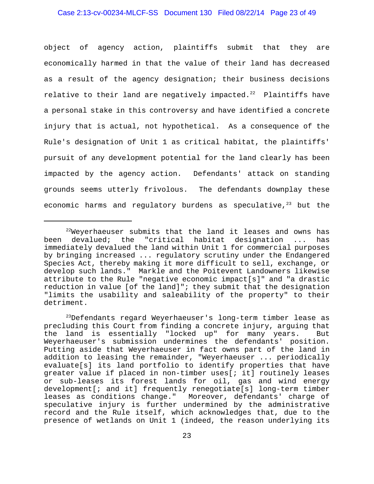## Case 2:13-cv-00234-MLCF-SS Document 130 Filed 08/22/14 Page 23 of 49

object of agency action, plaintiffs submit that they are economically harmed in that the value of their land has decreased as a result of the agency designation; their business decisions relative to their land are negatively impacted. $22$  Plaintiffs have a personal stake in this controversy and have identified a concrete injury that is actual, not hypothetical. As a consequence of the Rule's designation of Unit 1 as critical habitat, the plaintiffs' pursuit of any development potential for the land clearly has been impacted by the agency action. Defendants' attack on standing grounds seems utterly frivolous. The defendants downplay these economic harms and requlatory burdens as speculative, $2^3$  but the

 $22$ Weyerhaeuser submits that the land it leases and owns has been devalued; the "critical habitat designation ... has immediately devalued the land within Unit 1 for commercial purposes by bringing increased ... regulatory scrutiny under the Endangered Species Act, thereby making it more difficult to sell, exchange, or develop such lands." Markle and the Poitevent Landowners likewise attribute to the Rule "negative economic impact[s]" and "a drastic reduction in value [of the land]"; they submit that the designation "limits the usability and saleability of the property" to their detriment.

 $^{23}$ Defendants regard Weyerhaeuser's long-term timber lease as precluding this Court from finding a concrete injury, arguing that the land is essentially "locked up" for many years. But Weyerhaeuser's submission undermines the defendants' position. Putting aside that Weyerhaeuser in fact owns part of the land in addition to leasing the remainder, "Weyerhaeuser ... periodically evaluate[s] its land portfolio to identify properties that have greater value if placed in non-timber uses[; it] routinely leases or sub-leases its forest lands for oil, gas and wind energy development[; and it] frequently renegotiate[s] long-term timber leases as conditions change." Moreover, defendants' charge of speculative injury is further undermined by the administrative record and the Rule itself, which acknowledges that, due to the presence of wetlands on Unit 1 (indeed, the reason underlying its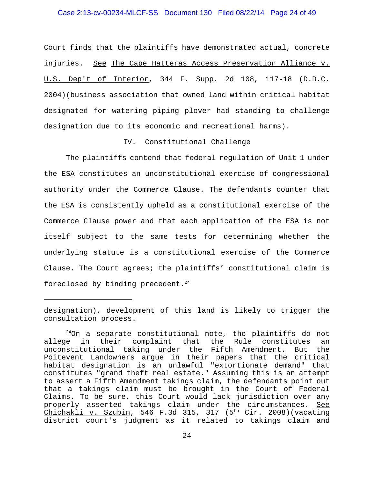## Case 2:13-cv-00234-MLCF-SS Document 130 Filed 08/22/14 Page 24 of 49

Court finds that the plaintiffs have demonstrated actual, concrete injuries. See The Cape Hatteras Access Preservation Alliance v. U.S. Dep't of Interior, 344 F. Supp. 2d 108, 117-18 (D.D.C. 2004)(business association that owned land within critical habitat designated for watering piping plover had standing to challenge designation due to its economic and recreational harms).

### IV. Constitutional Challenge

The plaintiffs contend that federal regulation of Unit 1 under the ESA constitutes an unconstitutional exercise of congressional authority under the Commerce Clause. The defendants counter that the ESA is consistently upheld as a constitutional exercise of the Commerce Clause power and that each application of the ESA is not itself subject to the same tests for determining whether the underlying statute is a constitutional exercise of the Commerce Clause. The Court agrees; the plaintiffs' constitutional claim is foreclosed by binding precedent.<sup>24</sup>

designation), development of this land is likely to trigger the consultation process.

 $^{24}$ On a separate constitutional note, the plaintiffs do not<br>e in their complaint that the Rule constitutes an allege in their complaint that the Rule constitutes an unconstitutional taking under the Fifth Amendment. But the Poitevent Landowners argue in their papers that the critical habitat designation is an unlawful "extortionate demand" that constitutes "grand theft real estate." Assuming this is an attempt to assert a Fifth Amendment takings claim, the defendants point out that a takings claim must be brought in the Court of Federal Claims. To be sure, this Court would lack jurisdiction over any properly asserted takings claim under the circumstances. See Chichakli v. Szubin, 546 F.3d 315, 317 (5<sup>th</sup> Cir. 2008)(vacating district court's judgment as it related to takings claim and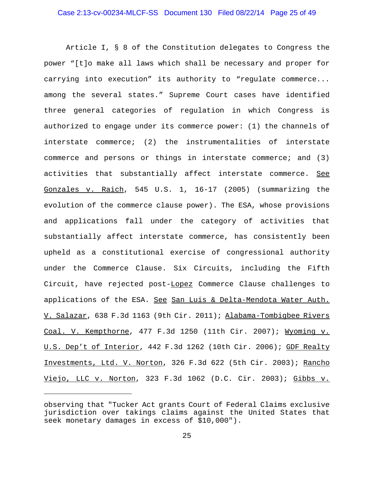Article I, § 8 of the Constitution delegates to Congress the power "[t]o make all laws which shall be necessary and proper for carrying into execution" its authority to "regulate commerce... among the several states." Supreme Court cases have identified three general categories of regulation in which Congress is authorized to engage under its commerce power: (1) the channels of interstate commerce; (2) the instrumentalities of interstate commerce and persons or things in interstate commerce; and (3) activities that substantially affect interstate commerce. See Gonzales v. Raich, 545 U.S. 1, 16-17 (2005) (summarizing the evolution of the commerce clause power). The ESA, whose provisions and applications fall under the category of activities that substantially affect interstate commerce, has consistently been upheld as a constitutional exercise of congressional authority under the Commerce Clause. Six Circuits, including the Fifth Circuit, have rejected post-Lopez Commerce Clause challenges to applications of the ESA. See San Luis & Delta-Mendota Water Auth. V. Salazar, 638 F.3d 1163 (9th Cir. 2011); Alabama-Tombigbee Rivers Coal. V. Kempthorne, 477 F.3d 1250 (11th Cir. 2007); Wyoming v. U.S. Dep't of Interior, 442 F.3d 1262 (10th Cir. 2006); GDF Realty Investments, Ltd. V. Norton, 326 F.3d 622 (5th Cir. 2003); Rancho Viejo, LLC v. Norton, 323 F.3d 1062 (D.C. Cir. 2003); Gibbs v.

observing that "Tucker Act grants Court of Federal Claims exclusive jurisdiction over takings claims against the United States that seek monetary damages in excess of \$10,000").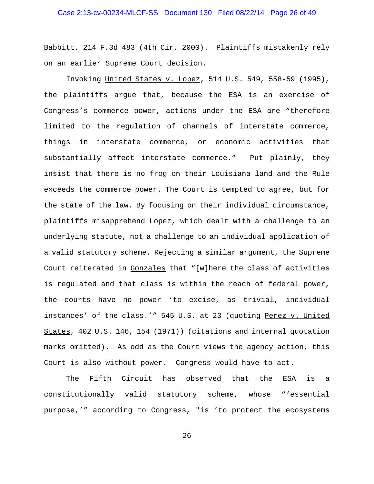Babbitt, 214 F.3d 483 (4th Cir. 2000). Plaintiffs mistakenly rely on an earlier Supreme Court decision.

Invoking United States v. Lopez, 514 U.S. 549, 558-59 (1995), the plaintiffs argue that, because the ESA is an exercise of Congress's commerce power, actions under the ESA are "therefore limited to the regulation of channels of interstate commerce, things in interstate commerce, or economic activities that substantially affect interstate commerce." Put plainly, they insist that there is no frog on their Louisiana land and the Rule exceeds the commerce power. The Court is tempted to agree, but for the state of the law. By focusing on their individual circumstance, plaintiffs misapprehend Lopez, which dealt with a challenge to an underlying statute, not a challenge to an individual application of a valid statutory scheme. Rejecting a similar argument, the Supreme Court reiterated in Gonzales that "[w]here the class of activities is regulated and that class is within the reach of federal power, the courts have no power 'to excise, as trivial, individual instances' of the class.'" 545 U.S. at 23 (quoting Perez v. United States, 402 U.S. 146, 154 (1971)) (citations and internal quotation marks omitted). As odd as the Court views the agency action, this Court is also without power. Congress would have to act.

The Fifth Circuit has observed that the ESA is a constitutionally valid statutory scheme, whose "'essential purpose,'" according to Congress, "is 'to protect the ecosystems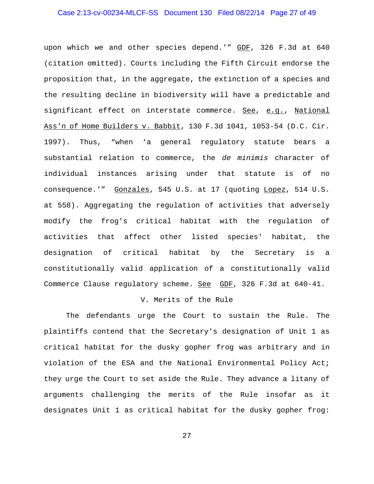## Case 2:13-cv-00234-MLCF-SS Document 130 Filed 08/22/14 Page 27 of 49

upon which we and other species depend.'" GDF, 326 F.3d at 640 (citation omitted). Courts including the Fifth Circuit endorse the proposition that, in the aggregate, the extinction of a species and the resulting decline in biodiversity will have a predictable and significant effect on interstate commerce. See, e.g., National Ass'n of Home Builders v. Babbit, 130 F.3d 1041, 1053-54 (D.C. Cir. 1997). Thus, "when 'a general regulatory statute bears a substantial relation to commerce, the *de minimis* character of individual instances arising under that statute is of no consequence.'" Gonzales, 545 U.S. at 17 (quoting Lopez, 514 U.S. at 558). Aggregating the regulation of activities that adversely modify the frog's critical habitat with the regulation of activities that affect other listed species' habitat, the designation of critical habitat by the Secretary is a constitutionally valid application of a constitutionally valid Commerce Clause regulatory scheme. See GDF, 326 F.3d at 640-41.

## V. Merits of the Rule

The defendants urge the Court to sustain the Rule. The plaintiffs contend that the Secretary's designation of Unit 1 as critical habitat for the dusky gopher frog was arbitrary and in violation of the ESA and the National Environmental Policy Act; they urge the Court to set aside the Rule. They advance a litany of arguments challenging the merits of the Rule insofar as it designates Unit 1 as critical habitat for the dusky gopher frog: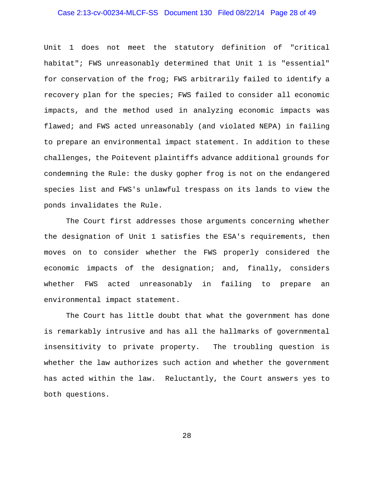## Case 2:13-cv-00234-MLCF-SS Document 130 Filed 08/22/14 Page 28 of 49

Unit 1 does not meet the statutory definition of "critical habitat"; FWS unreasonably determined that Unit 1 is "essential" for conservation of the frog; FWS arbitrarily failed to identify a recovery plan for the species; FWS failed to consider all economic impacts, and the method used in analyzing economic impacts was flawed; and FWS acted unreasonably (and violated NEPA) in failing to prepare an environmental impact statement. In addition to these challenges, the Poitevent plaintiffs advance additional grounds for condemning the Rule: the dusky gopher frog is not on the endangered species list and FWS's unlawful trespass on its lands to view the ponds invalidates the Rule.

The Court first addresses those arguments concerning whether the designation of Unit 1 satisfies the ESA's requirements, then moves on to consider whether the FWS properly considered the economic impacts of the designation; and, finally, considers whether FWS acted unreasonably in failing to prepare an environmental impact statement.

The Court has little doubt that what the government has done is remarkably intrusive and has all the hallmarks of governmental insensitivity to private property. The troubling question is whether the law authorizes such action and whether the government has acted within the law. Reluctantly, the Court answers yes to both questions.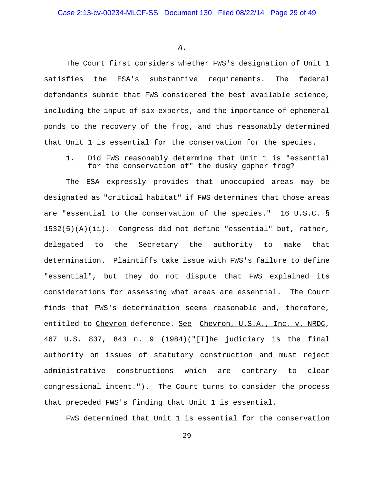*A.*

The Court first considers whether FWS's designation of Unit 1 satisfies the ESA's substantive requirements. The federal defendants submit that FWS considered the best available science, including the input of six experts, and the importance of ephemeral ponds to the recovery of the frog, and thus reasonably determined that Unit 1 is essential for the conservation for the species.

1. Did FWS reasonably determine that Unit 1 is "essential for the conservation of" the dusky gopher frog?

The ESA expressly provides that unoccupied areas may be designated as "critical habitat" if FWS determines that those areas are "essential to the conservation of the species." 16 U.S.C. § 1532(5)(A)(ii). Congress did not define "essential" but, rather, delegated to the Secretary the authority to make that determination. Plaintiffs take issue with FWS's failure to define "essential", but they do not dispute that FWS explained its considerations for assessing what areas are essential. The Court finds that FWS's determination seems reasonable and, therefore, entitled to Chevron deference. See Chevron, U.S.A., Inc. v. NRDC, 467 U.S. 837, 843 n. 9 (1984)("[T]he judiciary is the final authority on issues of statutory construction and must reject administrative constructions which are contrary to clear congressional intent."). The Court turns to consider the process that preceded FWS's finding that Unit 1 is essential.

FWS determined that Unit 1 is essential for the conservation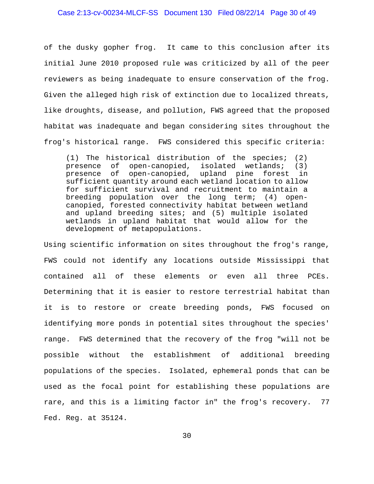#### Case 2:13-cv-00234-MLCF-SS Document 130 Filed 08/22/14 Page 30 of 49

of the dusky gopher frog. It came to this conclusion after its initial June 2010 proposed rule was criticized by all of the peer reviewers as being inadequate to ensure conservation of the frog. Given the alleged high risk of extinction due to localized threats, like droughts, disease, and pollution, FWS agreed that the proposed habitat was inadequate and began considering sites throughout the frog's historical range. FWS considered this specific criteria:

(1) The historical distribution of the species; (2) presence of open-canopied, isolated wetlands; (3) presence of open-canopied, upland pine forest in sufficient quantity around each wetland location to allow for sufficient survival and recruitment to maintain a breeding population over the long term; (4) opencanopied, forested connectivity habitat between wetland and upland breeding sites; and (5) multiple isolated wetlands in upland habitat that would allow for the development of metapopulations.

Using scientific information on sites throughout the frog's range, FWS could not identify any locations outside Mississippi that contained all of these elements or even all three PCEs. Determining that it is easier to restore terrestrial habitat than it is to restore or create breeding ponds, FWS focused on identifying more ponds in potential sites throughout the species' range. FWS determined that the recovery of the frog "will not be possible without the establishment of additional breeding populations of the species. Isolated, ephemeral ponds that can be used as the focal point for establishing these populations are rare, and this is a limiting factor in" the frog's recovery. 77 Fed. Reg. at 35124.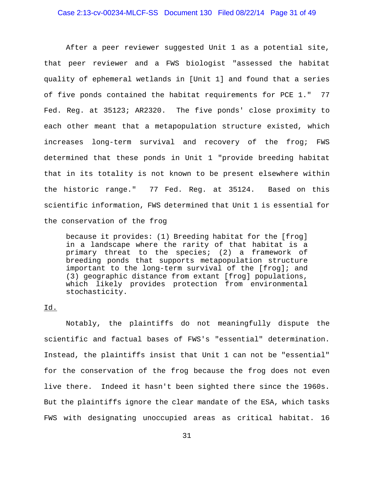#### Case 2:13-cv-00234-MLCF-SS Document 130 Filed 08/22/14 Page 31 of 49

After a peer reviewer suggested Unit 1 as a potential site, that peer reviewer and a FWS biologist "assessed the habitat quality of ephemeral wetlands in [Unit 1] and found that a series of five ponds contained the habitat requirements for PCE 1." 77 Fed. Reg. at 35123; AR2320. The five ponds' close proximity to each other meant that a metapopulation structure existed, which increases long-term survival and recovery of the frog; FWS determined that these ponds in Unit 1 "provide breeding habitat that in its totality is not known to be present elsewhere within the historic range." 77 Fed. Reg. at 35124. Based on this scientific information, FWS determined that Unit 1 is essential for the conservation of the frog

because it provides: (1) Breeding habitat for the [frog] in a landscape where the rarity of that habitat is a primary threat to the species; (2) a framework of breeding ponds that supports metapopulation structure important to the long-term survival of the [frog]; and (3) geographic distance from extant [frog] populations, which likely provides protection from environmental stochasticity.

## Id.

Notably, the plaintiffs do not meaningfully dispute the scientific and factual bases of FWS's "essential" determination. Instead, the plaintiffs insist that Unit 1 can not be "essential" for the conservation of the frog because the frog does not even live there. Indeed it hasn't been sighted there since the 1960s. But the plaintiffs ignore the clear mandate of the ESA, which tasks FWS with designating unoccupied areas as critical habitat. 16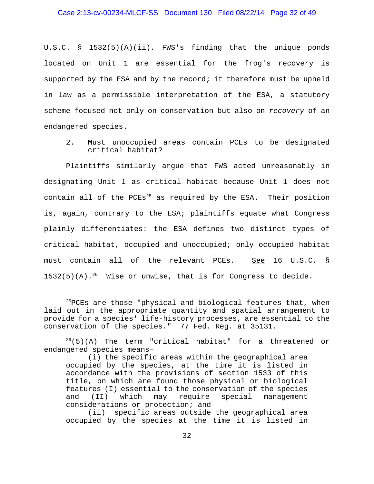#### Case 2:13-cv-00234-MLCF-SS Document 130 Filed 08/22/14 Page 32 of 49

U.S.C. § 1532(5)(A)(ii). FWS's finding that the unique ponds located on Unit 1 are essential for the frog's recovery is supported by the ESA and by the record; it therefore must be upheld in law as a permissible interpretation of the ESA, a statutory scheme focused not only on conservation but also on *recovery* of an endangered species.

2. Must unoccupied areas contain PCEs to be designated critical habitat?

Plaintiffs similarly argue that FWS acted unreasonably in designating Unit 1 as critical habitat because Unit 1 does not contain all of the PCEs<sup>25</sup> as required by the ESA. Their position is, again, contrary to the ESA; plaintiffs equate what Congress plainly differentiates: the ESA defines two distinct types of critical habitat, occupied and unoccupied; only occupied habitat must contain all of the relevant PCEs. See 16 U.S.C. §  $1532(5)(A).^{26}$  Wise or unwise, that is for Congress to decide.

 $^{25}$ PCEs are those "physical and biological features that, when laid out in the appropriate quantity and spatial arrangement to provide for a species' life-history processes, are essential to the conservation of the species." 77 Fed. Reg. at 35131.

 $2^{26}(5)(A)$  The term "critical habitat" for a threatened or endangered species means–

<sup>(</sup>i) the specific areas within the geographical area occupied by the species, at the time it is listed in accordance with the provisions of section 1533 of this title, on which are found those physical or biological features (I) essential to the conservation of the species and (II) which may require special management considerations or protection; and

<sup>(</sup>ii) specific areas outside the geographical area occupied by the species at the time it is listed in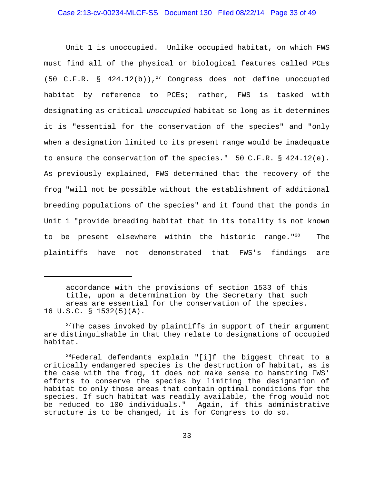## Case 2:13-cv-00234-MLCF-SS Document 130 Filed 08/22/14 Page 33 of 49

Unit 1 is unoccupied. Unlike occupied habitat, on which FWS must find all of the physical or biological features called PCEs (50 C.F.R. §  $424.12(b)$ ),<sup>27</sup> Congress does not define unoccupied habitat by reference to PCEs; rather, FWS is tasked with designating as critical *unoccupied* habitat so long as it determines it is "essential for the conservation of the species" and "only when a designation limited to its present range would be inadequate to ensure the conservation of the species." 50 C.F.R. § 424.12(e). As previously explained, FWS determined that the recovery of the frog "will not be possible without the establishment of additional breeding populations of the species" and it found that the ponds in Unit 1 "provide breeding habitat that in its totality is not known to be present elsewhere within the historic range."<sup>28</sup> The plaintiffs have not demonstrated that FWS's findings are

accordance with the provisions of section 1533 of this title, upon a determination by the Secretary that such areas are essential for the conservation of the species. 16 U.S.C. § 1532(5)(A).

 $27$ The cases invoked by plaintiffs in support of their argument are distinguishable in that they relate to designations of occupied habitat.

 $^{28}$ Federal defendants explain "[i]f the biggest threat to a critically endangered species is the destruction of habitat, as is the case with the frog, it does not make sense to hamstring FWS' efforts to conserve the species by limiting the designation of habitat to only those areas that contain optimal conditions for the species. If such habitat was readily available, the frog would not be reduced to 100 individuals." Again, if this administrative structure is to be changed, it is for Congress to do so.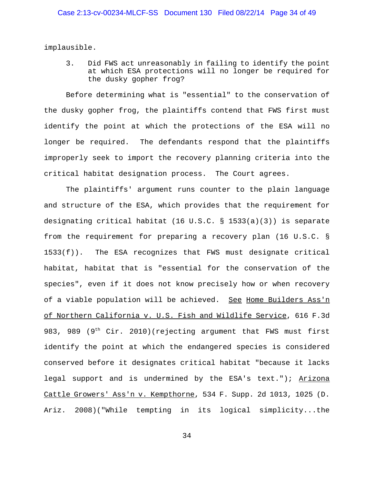implausible.

3. Did FWS act unreasonably in failing to identify the point at which ESA protections will no longer be required for the dusky gopher frog?

Before determining what is "essential" to the conservation of the dusky gopher frog, the plaintiffs contend that FWS first must identify the point at which the protections of the ESA will no longer be required. The defendants respond that the plaintiffs improperly seek to import the recovery planning criteria into the critical habitat designation process. The Court agrees.

The plaintiffs' argument runs counter to the plain language and structure of the ESA, which provides that the requirement for designating critical habitat (16 U.S.C. § 1533(a)(3)) is separate from the requirement for preparing a recovery plan (16 U.S.C. §  $1533(f)$ ). The ESA recognizes that FWS must designate critical habitat, habitat that is "essential for the conservation of the species", even if it does not know precisely how or when recovery of a viable population will be achieved. See Home Builders Ass'n of Northern California v. U.S. Fish and Wildlife Service, 616 F.3d 983, 989 (9<sup>th</sup> Cir. 2010)(rejecting argument that FWS must first identify the point at which the endangered species is considered conserved before it designates critical habitat "because it lacks legal support and is undermined by the ESA's text."); Arizona Cattle Growers' Ass'n v. Kempthorne, 534 F. Supp. 2d 1013, 1025 (D. Ariz. 2008)("While tempting in its logical simplicity...the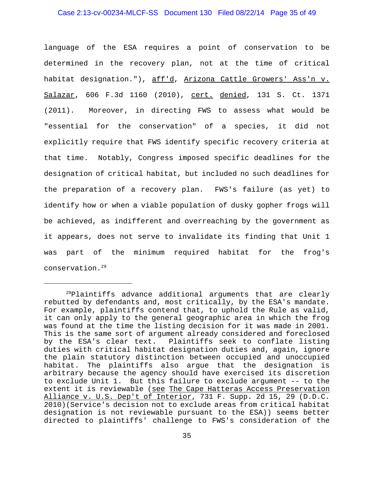#### Case 2:13-cv-00234-MLCF-SS Document 130 Filed 08/22/14 Page 35 of 49

language of the ESA requires a point of conservation to be determined in the recovery plan, not at the time of critical habitat designation."), aff'd, Arizona Cattle Growers' Ass'n v. Salazar, 606 F.3d 1160 (2010), cert. denied, 131 S. Ct. 1371 (2011). Moreover, in directing FWS to assess what would be "essential for the conservation" of a species, it did not explicitly require that FWS identify specific recovery criteria at that time. Notably, Congress imposed specific deadlines for the designation of critical habitat, but included no such deadlines for the preparation of a recovery plan. FWS's failure (as yet) to identify how or when a viable population of dusky gopher frogs will be achieved, as indifferent and overreaching by the government as it appears, does not serve to invalidate its finding that Unit 1 was part of the minimum required habitat for the frog's conservation.29

 $^{29}$ Plaintiffs advance additional arguments that are clearly rebutted by defendants and, most critically, by the ESA's mandate. For example, plaintiffs contend that, to uphold the Rule as valid, it can only apply to the general geographic area in which the frog was found at the time the listing decision for it was made in 2001. This is the same sort of argument already considered and foreclosed by the ESA's clear text. Plaintiffs seek to conflate listing duties with critical habitat designation duties and, again, ignore the plain statutory distinction between occupied and unoccupied habitat. The plaintiffs also argue that the designation is arbitrary because the agency should have exercised its discretion to exclude Unit 1. But this failure to exclude argument -- to the extent it is reviewable (see The Cape Hatteras Access Preservation Alliance v. U.S. Dep't of Interior, 731 F. Supp. 2d 15, 29 (D.D.C. 2010)(Service's decision not to exclude areas from critical habitat designation is not reviewable pursuant to the ESA)) seems better directed to plaintiffs' challenge to FWS's consideration of the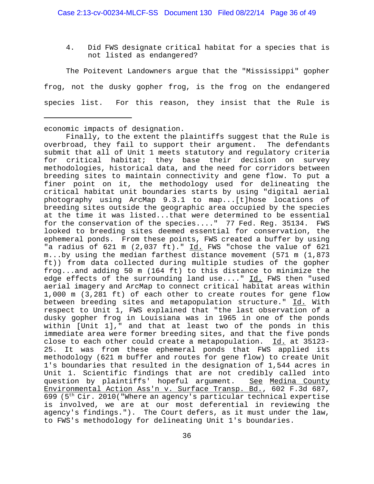4. Did FWS designate critical habitat for a species that is not listed as endangered?

The Poitevent Landowners argue that the "Mississippi" gopher frog, not the dusky gopher frog, is the frog on the endangered species list. For this reason, they insist that the Rule is

economic impacts of designation.

Finally, to the extent the plaintiffs suggest that the Rule is overbroad, they fail to support their argument. The defendants submit that all of Unit 1 meets statutory and regulatory criteria for critical habitat; they base their decision on survey methodologies, historical data, and the need for corridors between breeding sites to maintain connectivity and gene flow. To put a finer point on it, the methodology used for delineating the critical habitat unit boundaries starts by using "digital aerial photography using ArcMap 9.3.1 to map...[t]hose locations of breeding sites outside the geographic area occupied by the species at the time it was listed...that were determined to be essential for the conservation of the species...." 77 Fed. Reg. 35134. FWS looked to breeding sites deemed essential for conservation, the ephemeral ponds. From these points, FWS created a buffer by using "a radius of 621 m (2,037 ft)." Id. FWS "chose the value of 621 m...by using the median farthest distance movement (571 m (1,873 ft)) from data collected during multiple studies of the gopher frog...and adding 50 m (164 ft) to this distance to minimize the edge effects of the surrounding land use...." Id. FWS then "used aerial imagery and ArcMap to connect critical habitat areas within 1,000 m (3,281 ft) of each other to create routes for gene flow between breeding sites and metapopulation structure." Id. With respect to Unit 1, FWS explained that "the last observation of a dusky gopher frog in Louisiana was in 1965 in one of the ponds within [Unit 1]," and that at least two of the ponds in this immediate area were former breeding sites, and that the five ponds close to each other could create a metapopulation. Id. at 35123- 25. It was from these ephemeral ponds that FWS applied its methodology (621 m buffer and routes for gene flow) to create Unit 1's boundaries that resulted in the designation of 1,544 acres in Unit 1. Scientific findings that are not credibly called into question by plaintiffs' hopeful argument. See Medina County Environmental Action Ass'n v. Surface Transp. Bd., 602 F.3d 687, 699 (5th Cir. 2010("Where an agency's particular technical expertise is involved, we are at our most deferential in reviewing the agency's findings."). The Court defers, as it must under the law, to FWS's methodology for delineating Unit 1's boundaries.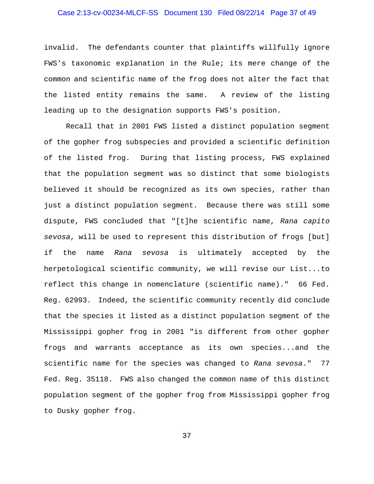## Case 2:13-cv-00234-MLCF-SS Document 130 Filed 08/22/14 Page 37 of 49

invalid. The defendants counter that plaintiffs willfully ignore FWS's taxonomic explanation in the Rule; its mere change of the common and scientific name of the frog does not alter the fact that the listed entity remains the same. A review of the listing leading up to the designation supports FWS's position.

Recall that in 2001 FWS listed a distinct population segment of the gopher frog subspecies and provided a scientific definition of the listed frog. During that listing process, FWS explained that the population segment was so distinct that some biologists believed it should be recognized as its own species, rather than just a distinct population segment. Because there was still some dispute, FWS concluded that "[t]he scientific name, *Rana capito sevosa*, will be used to represent this distribution of frogs [but] if the name *Rana sevosa* is ultimately accepted by the herpetological scientific community, we will revise our List...to reflect this change in nomenclature (scientific name)." 66 Fed. Reg. 62993. Indeed, the scientific community recently did conclude that the species it listed as a distinct population segment of the Mississippi gopher frog in 2001 "is different from other gopher frogs and warrants acceptance as its own species...and the scientific name for the species was changed to *Rana sevosa*." 77 Fed. Reg. 35118. FWS also changed the common name of this distinct population segment of the gopher frog from Mississippi gopher frog to Dusky gopher frog.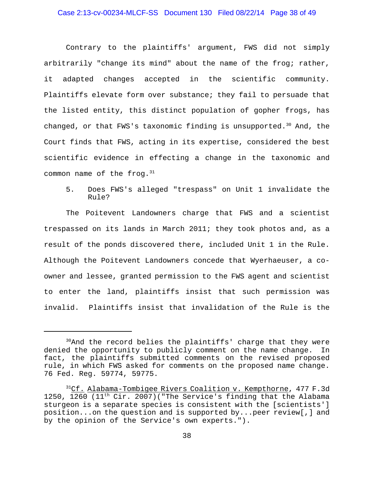## Case 2:13-cv-00234-MLCF-SS Document 130 Filed 08/22/14 Page 38 of 49

Contrary to the plaintiffs' argument, FWS did not simply arbitrarily "change its mind" about the name of the frog; rather, it adapted changes accepted in the scientific community. Plaintiffs elevate form over substance; they fail to persuade that the listed entity, this distinct population of gopher frogs, has changed, or that FWS's taxonomic finding is unsupported.<sup>30</sup> And, the Court finds that FWS, acting in its expertise, considered the best scientific evidence in effecting a change in the taxonomic and common name of the frog. $31$ 

5. Does FWS's alleged "trespass" on Unit 1 invalidate the Rule?

The Poitevent Landowners charge that FWS and a scientist trespassed on its lands in March 2011; they took photos and, as a result of the ponds discovered there, included Unit 1 in the Rule. Although the Poitevent Landowners concede that Wyerhaeuser, a coowner and lessee, granted permission to the FWS agent and scientist to enter the land, plaintiffs insist that such permission was invalid. Plaintiffs insist that invalidation of the Rule is the

<sup>&</sup>lt;sup>30</sup>And the record belies the plaintiffs' charge that they were denied the opportunity to publicly comment on the name change. In fact, the plaintiffs submitted comments on the revised proposed rule, in which FWS asked for comments on the proposed name change. 76 Fed. Reg. 59774, 59775.

<sup>&</sup>lt;sup>31</sup>Cf. Alabama-Tombigee Rivers Coalition v. Kempthorne, 477 F.3d 1250, 1260 (11<sup>th</sup> Cir. 2007)("The Service's finding that the Alabama sturgeon is a separate species is consistent with the [scientists'] position...on the question and is supported by...peer review[,] and by the opinion of the Service's own experts.").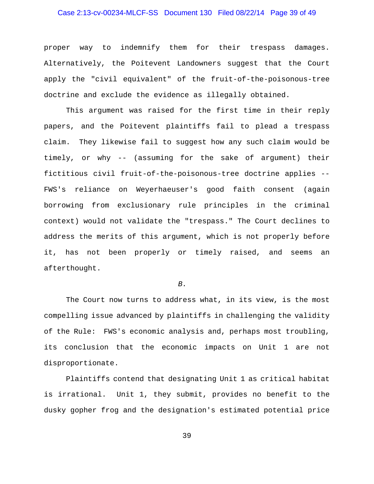## Case 2:13-cv-00234-MLCF-SS Document 130 Filed 08/22/14 Page 39 of 49

proper way to indemnify them for their trespass damages. Alternatively, the Poitevent Landowners suggest that the Court apply the "civil equivalent" of the fruit-of-the-poisonous-tree doctrine and exclude the evidence as illegally obtained.

This argument was raised for the first time in their reply papers, and the Poitevent plaintiffs fail to plead a trespass claim. They likewise fail to suggest how any such claim would be timely, or why -- (assuming for the sake of argument) their fictitious civil fruit-of-the-poisonous-tree doctrine applies -- FWS's reliance on Weyerhaeuser's good faith consent (again borrowing from exclusionary rule principles in the criminal context) would not validate the "trespass." The Court declines to address the merits of this argument, which is not properly before it, has not been properly or timely raised, and seems an afterthought.

#### *B.*

The Court now turns to address what, in its view, is the most compelling issue advanced by plaintiffs in challenging the validity of the Rule: FWS's economic analysis and, perhaps most troubling, its conclusion that the economic impacts on Unit 1 are not disproportionate.

Plaintiffs contend that designating Unit 1 as critical habitat is irrational. Unit 1, they submit, provides no benefit to the dusky gopher frog and the designation's estimated potential price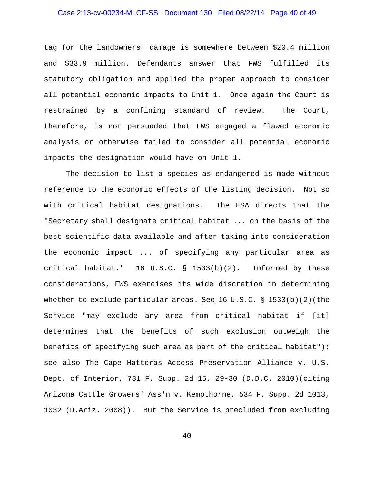## Case 2:13-cv-00234-MLCF-SS Document 130 Filed 08/22/14 Page 40 of 49

tag for the landowners' damage is somewhere between \$20.4 million and \$33.9 million. Defendants answer that FWS fulfilled its statutory obligation and applied the proper approach to consider all potential economic impacts to Unit 1. Once again the Court is restrained by a confining standard of review. The Court, therefore, is not persuaded that FWS engaged a flawed economic analysis or otherwise failed to consider all potential economic impacts the designation would have on Unit 1.

The decision to list a species as endangered is made without reference to the economic effects of the listing decision. Not so with critical habitat designations. The ESA directs that the "Secretary shall designate critical habitat ... on the basis of the best scientific data available and after taking into consideration the economic impact ... of specifying any particular area as critical habitat." 16 U.S.C. § 1533(b)(2). Informed by these considerations, FWS exercises its wide discretion in determining whether to exclude particular areas. See 16 U.S.C.  $\S$  1533(b)(2)(the Service "may exclude any area from critical habitat if [it] determines that the benefits of such exclusion outweigh the benefits of specifying such area as part of the critical habitat"); see also The Cape Hatteras Access Preservation Alliance v. U.S. Dept. of Interior, 731 F. Supp. 2d 15, 29-30 (D.D.C. 2010)(citing Arizona Cattle Growers' Ass'n v. Kempthorne, 534 F. Supp. 2d 1013, 1032 (D.Ariz. 2008)). But the Service is precluded from excluding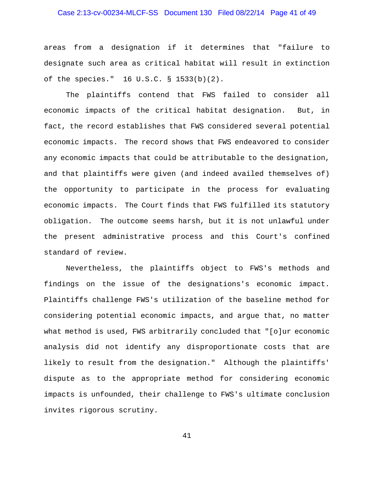## Case 2:13-cv-00234-MLCF-SS Document 130 Filed 08/22/14 Page 41 of 49

areas from a designation if it determines that "failure to designate such area as critical habitat will result in extinction of the species." 16 U.S.C. § 1533(b)(2).

The plaintiffs contend that FWS failed to consider all economic impacts of the critical habitat designation. But, in fact, the record establishes that FWS considered several potential economic impacts. The record shows that FWS endeavored to consider any economic impacts that could be attributable to the designation, and that plaintiffs were given (and indeed availed themselves of) the opportunity to participate in the process for evaluating economic impacts. The Court finds that FWS fulfilled its statutory obligation. The outcome seems harsh, but it is not unlawful under the present administrative process and this Court's confined standard of review.

Nevertheless, the plaintiffs object to FWS's methods and findings on the issue of the designations's economic impact. Plaintiffs challenge FWS's utilization of the baseline method for considering potential economic impacts, and argue that, no matter what method is used, FWS arbitrarily concluded that "[o]ur economic analysis did not identify any disproportionate costs that are likely to result from the designation." Although the plaintiffs' dispute as to the appropriate method for considering economic impacts is unfounded, their challenge to FWS's ultimate conclusion invites rigorous scrutiny.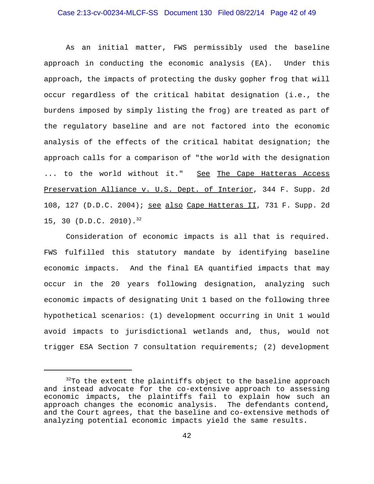## Case 2:13-cv-00234-MLCF-SS Document 130 Filed 08/22/14 Page 42 of 49

As an initial matter, FWS permissibly used the baseline approach in conducting the economic analysis (EA). Under this approach, the impacts of protecting the dusky gopher frog that will occur regardless of the critical habitat designation (i.e., the burdens imposed by simply listing the frog) are treated as part of the regulatory baseline and are not factored into the economic analysis of the effects of the critical habitat designation; the approach calls for a comparison of "the world with the designation ... to the world without it." See The Cape Hatteras Access Preservation Alliance v. U.S. Dept. of Interior, 344 F. Supp. 2d 108, 127 (D.D.C. 2004); see also Cape Hatteras II, 731 F. Supp. 2d 15, 30 (D.D.C. 2010).<sup>32</sup>

Consideration of economic impacts is all that is required. FWS fulfilled this statutory mandate by identifying baseline economic impacts. And the final EA quantified impacts that may occur in the 20 years following designation, analyzing such economic impacts of designating Unit 1 based on the following three hypothetical scenarios: (1) development occurring in Unit 1 would avoid impacts to jurisdictional wetlands and, thus, would not trigger ESA Section 7 consultation requirements; (2) development

 $32$ To the extent the plaintiffs object to the baseline approach and instead advocate for the co-extensive approach to assessing economic impacts, the plaintiffs fail to explain how such an approach changes the economic analysis. The defendants contend, and the Court agrees, that the baseline and co-extensive methods of analyzing potential economic impacts yield the same results.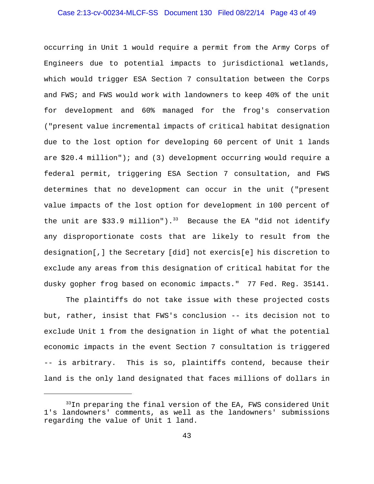## Case 2:13-cv-00234-MLCF-SS Document 130 Filed 08/22/14 Page 43 of 49

occurring in Unit 1 would require a permit from the Army Corps of Engineers due to potential impacts to jurisdictional wetlands, which would trigger ESA Section 7 consultation between the Corps and FWS; and FWS would work with landowners to keep 40% of the unit for development and 60% managed for the frog's conservation ("present value incremental impacts of critical habitat designation due to the lost option for developing 60 percent of Unit 1 lands are \$20.4 million"); and (3) development occurring would require a federal permit, triggering ESA Section 7 consultation, and FWS determines that no development can occur in the unit ("present value impacts of the lost option for development in 100 percent of the unit are \$33.9 million").<sup>33</sup> Because the EA "did not identify any disproportionate costs that are likely to result from the designation[,] the Secretary [did] not exercis[e] his discretion to exclude any areas from this designation of critical habitat for the dusky gopher frog based on economic impacts." 77 Fed. Reg. 35141.

The plaintiffs do not take issue with these projected costs but, rather, insist that FWS's conclusion -- its decision not to exclude Unit 1 from the designation in light of what the potential economic impacts in the event Section 7 consultation is triggered -- is arbitrary. This is so, plaintiffs contend, because their land is the only land designated that faces millions of dollars in

 $33$ In preparing the final version of the EA, FWS considered Unit 1's landowners' comments, as well as the landowners' submissions regarding the value of Unit 1 land.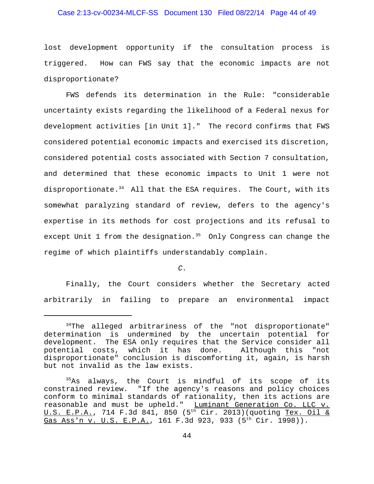## Case 2:13-cv-00234-MLCF-SS Document 130 Filed 08/22/14 Page 44 of 49

lost development opportunity if the consultation process is triggered. How can FWS say that the economic impacts are not disproportionate?

FWS defends its determination in the Rule: "considerable uncertainty exists regarding the likelihood of a Federal nexus for development activities [in Unit 1]." The record confirms that FWS considered potential economic impacts and exercised its discretion, considered potential costs associated with Section 7 consultation, and determined that these economic impacts to Unit 1 were not disproportionate.<sup>34</sup> All that the ESA requires. The Court, with its somewhat paralyzing standard of review, defers to the agency's expertise in its methods for cost projections and its refusal to except Unit 1 from the designation.<sup>35</sup> Only Congress can change the regime of which plaintiffs understandably complain.

*C.*

Finally, the Court considers whether the Secretary acted arbitrarily in failing to prepare an environmental impact

<sup>&</sup>lt;sup>34</sup>The alleged arbitrariness of the "not disproportionate" determination is undermined by the uncertain potential for development. The ESA only requires that the Service consider all potential costs, which it has done. Although this "not disproportionate" conclusion is discomforting it, again, is harsh but not invalid as the law exists.

 $35A$ s always, the Court is mindful of its scope of its constrained review. "If the agency's reasons and policy choices conform to minimal standards of rationality, then its actions are reasonable and must be upheld." Luminant Generation Co. LLC v. U.S. E.P.A., 714 F.3d 841, 850 (5<sup>th</sup> Cir. 2013)(quoting Tex. Oil & Gas Ass'n v. U.S. E.P.A., 161 F.3d 923, 933 (5<sup>th</sup> Cir. 1998)).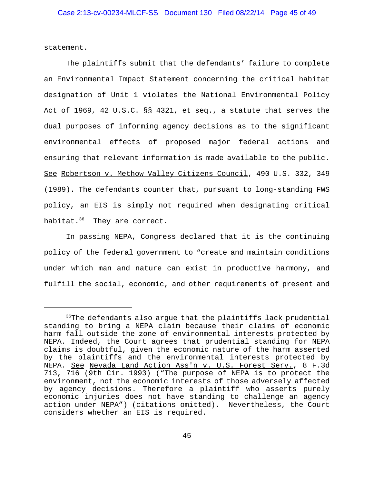statement.

The plaintiffs submit that the defendants' failure to complete an Environmental Impact Statement concerning the critical habitat designation of Unit 1 violates the National Environmental Policy Act of 1969, 42 U.S.C. §§ 4321, et seq., a statute that serves the dual purposes of informing agency decisions as to the significant environmental effects of proposed major federal actions and ensuring that relevant information is made available to the public. See Robertson v. Methow Valley Citizens Council, 490 U.S. 332, 349 (1989). The defendants counter that, pursuant to long-standing FWS policy, an EIS is simply not required when designating critical habitat.<sup>36</sup> They are correct.

In passing NEPA, Congress declared that it is the continuing policy of the federal government to "create and maintain conditions under which man and nature can exist in productive harmony, and fulfill the social, economic, and other requirements of present and

<sup>&</sup>lt;sup>36</sup>The defendants also argue that the plaintiffs lack prudential standing to bring a NEPA claim because their claims of economic harm fall outside the zone of environmental interests protected by NEPA. Indeed, the Court agrees that prudential standing for NEPA claims is doubtful, given the economic nature of the harm asserted by the plaintiffs and the environmental interests protected by NEPA. See Nevada Land Action Ass'n v. U.S. Forest Serv., 8 F.3d 713, 716 (9th Cir. 1993) ("The purpose of NEPA is to protect the environment, not the economic interests of those adversely affected by agency decisions. Therefore a plaintiff who asserts purely economic injuries does not have standing to challenge an agency action under NEPA") (citations omitted). Nevertheless, the Court considers whether an EIS is required.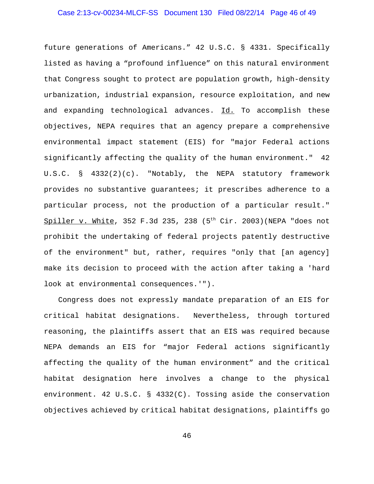# Case 2:13-cv-00234-MLCF-SS Document 130 Filed 08/22/14 Page 46 of 49

future generations of Americans." 42 U.S.C. § 4331. Specifically listed as having a "profound influence" on this natural environment that Congress sought to protect are population growth, high-density urbanization, industrial expansion, resource exploitation, and new and expanding technological advances. Id. To accomplish these objectives, NEPA requires that an agency prepare a comprehensive environmental impact statement (EIS) for "major Federal actions significantly affecting the quality of the human environment." 42 U.S.C. § 4332(2)(c). "Notably, the NEPA statutory framework provides no substantive guarantees; it prescribes adherence to a particular process, not the production of a particular result." Spiller v. White, 352 F.3d 235, 238 (5<sup>th</sup> Cir. 2003) (NEPA "does not prohibit the undertaking of federal projects patently destructive of the environment" but, rather, requires "only that [an agency] make its decision to proceed with the action after taking a 'hard look at environmental consequences.'").

 Congress does not expressly mandate preparation of an EIS for critical habitat designations. Nevertheless, through tortured reasoning, the plaintiffs assert that an EIS was required because NEPA demands an EIS for "major Federal actions significantly affecting the quality of the human environment" and the critical habitat designation here involves a change to the physical environment. 42 U.S.C. § 4332(C). Tossing aside the conservation objectives achieved by critical habitat designations, plaintiffs go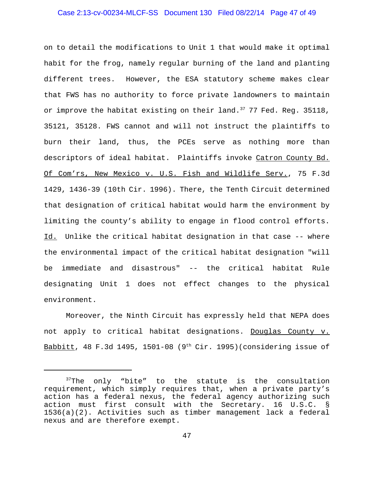#### Case 2:13-cv-00234-MLCF-SS Document 130 Filed 08/22/14 Page 47 of 49

on to detail the modifications to Unit 1 that would make it optimal habit for the frog, namely regular burning of the land and planting different trees. However, the ESA statutory scheme makes clear that FWS has no authority to force private landowners to maintain or improve the habitat existing on their land.  $37$  77 Fed. Reg. 35118, 35121, 35128. FWS cannot and will not instruct the plaintiffs to burn their land, thus, the PCEs serve as nothing more than descriptors of ideal habitat. Plaintiffs invoke Catron County Bd. Of Com'rs, New Mexico v. U.S. Fish and Wildlife Serv., 75 F.3d 1429, 1436-39 (10th Cir. 1996). There, the Tenth Circuit determined that designation of critical habitat would harm the environment by limiting the county's ability to engage in flood control efforts. Id. Unlike the critical habitat designation in that case -- where the environmental impact of the critical habitat designation "will be immediate and disastrous" -- the critical habitat Rule designating Unit 1 does not effect changes to the physical environment.

Moreover, the Ninth Circuit has expressly held that NEPA does not apply to critical habitat designations. Douglas County v. Babbitt, 48 F.3d 1495, 1501-08 (9<sup>th</sup> Cir. 1995)(considering issue of

 $37$ The only "bite" to the statute is the consultation requirement, which simply requires that, when a private party's action has a federal nexus, the federal agency authorizing such action must first consult with the Secretary. 16 U.S.C. § 1536(a)(2). Activities such as timber management lack a federal nexus and are therefore exempt.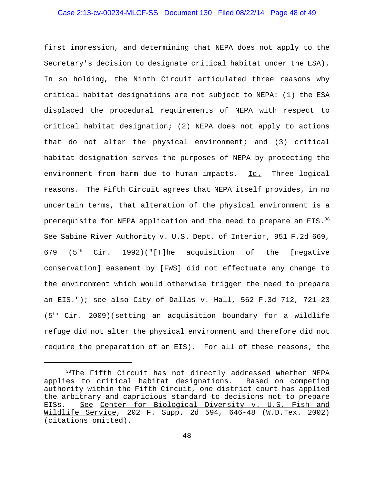## Case 2:13-cv-00234-MLCF-SS Document 130 Filed 08/22/14 Page 48 of 49

first impression, and determining that NEPA does not apply to the Secretary's decision to designate critical habitat under the ESA). In so holding, the Ninth Circuit articulated three reasons why critical habitat designations are not subject to NEPA: (1) the ESA displaced the procedural requirements of NEPA with respect to critical habitat designation; (2) NEPA does not apply to actions that do not alter the physical environment; and (3) critical habitat designation serves the purposes of NEPA by protecting the environment from harm due to human impacts. Id. Three logical reasons. The Fifth Circuit agrees that NEPA itself provides, in no uncertain terms, that alteration of the physical environment is a prerequisite for NEPA application and the need to prepare an EIS.<sup>38</sup> See Sabine River Authority v. U.S. Dept. of Interior, 951 F.2d 669, 679 ( $5<sup>th</sup>$  Cir. 1992)("[T]he acquisition of the [negative conservation] easement by [FWS] did not effectuate any change to the environment which would otherwise trigger the need to prepare an EIS."); see also City of Dallas v. Hall, 562 F.3d 712, 721-23 (5th Cir. 2009)(setting an acquisition boundary for a wildlife refuge did not alter the physical environment and therefore did not require the preparation of an EIS). For all of these reasons, the

<sup>38</sup>The Fifth Circuit has not directly addressed whether NEPA applies to critical habitat designations. Based on competing authority within the Fifth Circuit, one district court has applied the arbitrary and capricious standard to decisions not to prepare EISs. See Center for Biological Diversity v. U.S. Fish and Wildlife Service, 202 F. Supp. 2d 594, 646-48 (W.D.Tex. 2002) (citations omitted).